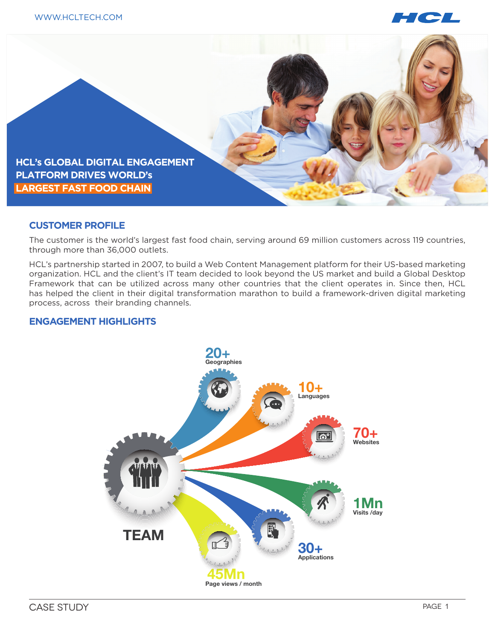



# **CUSTOMER PROFILE**

The customer is the world's largest fast food chain, serving around 69 million customers across 119 countries, through more than 36,000 outlets.

HCL's partnership started in 2007, to build a Web Content Management platform for their US-based marketing organization. HCL and the client's IT team decided to look beyond the US market and build a Global Desktop Framework that can be utilized across many other countries that the client operates in. Since then, HCL has helped the client in their digital transformation marathon to build a framework-driven digital marketing process, across their branding channels.

# **ENGAGEMENT HIGHLIGHTS**

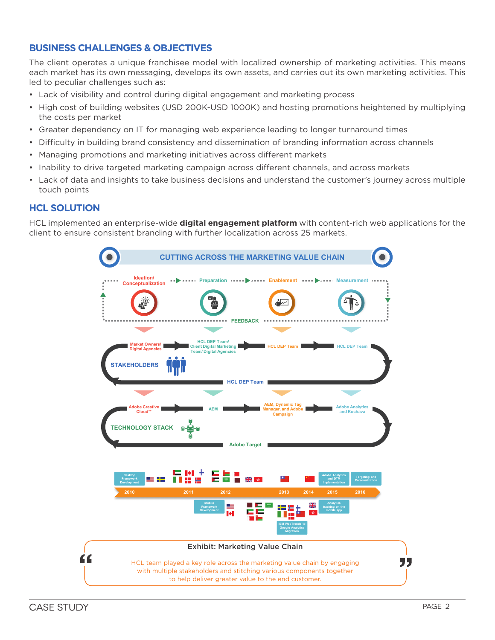# **BUSINESS CHALLENGES & OBJECTIVES**

The client operates a unique franchisee model with localized ownership of marketing activities. This means each market has its own messaging, develops its own assets, and carries out its own marketing activities. This led to peculiar challenges such as:

- Lack of visibility and control during digital engagement and marketing process
- High cost of building websites (USD 200K-USD 1000K) and hosting promotions heightened by multiplying the costs per market
- Greater dependency on IT for managing web experience leading to longer turnaround times
- Difficulty in building brand consistency and dissemination of branding information across channels
- Managing promotions and marketing initiatives across different markets
- Inability to drive targeted marketing campaign across different channels, and across markets
- Lack of data and insights to take business decisions and understand the customer's journey across multiple touch points

# **HCL SOLUTION**

HCL implemented an enterprise-wide **digital engagement platform** with content-rich web applications for the client to ensure consistent branding with further localization across 25 markets.

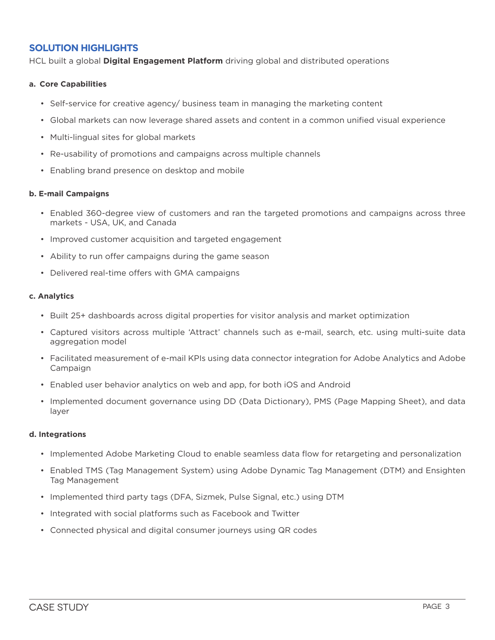# **SOLUTION HIGHLIGHTS**

HCL built a global **Digital Engagement Platform** driving global and distributed operations

## **a. Core Capabilities**

- Self-service for creative agency/ business team in managing the marketing content
- Global markets can now leverage shared assets and content in a common unified visual experience
- Multi-lingual sites for global markets
- Re-usability of promotions and campaigns across multiple channels
- Enabling brand presence on desktop and mobile

### **b. E-mail Campaigns**

- Enabled 360-degree view of customers and ran the targeted promotions and campaigns across three markets - USA, UK, and Canada
- Improved customer acquisition and targeted engagement
- Ability to run offer campaigns during the game season
- Delivered real-time offers with GMA campaigns

### **c. Analytics**

- Built 25+ dashboards across digital properties for visitor analysis and market optimization
- Captured visitors across multiple 'Attract' channels such as e-mail, search, etc. using multi-suite data aggregation model
- Facilitated measurement of e-mail KPIs using data connector integration for Adobe Analytics and Adobe Campaign
- Enabled user behavior analytics on web and app, for both iOS and Android
- Implemented document governance using DD (Data Dictionary), PMS (Page Mapping Sheet), and data layer

#### **d. Integrations**

- Implemented Adobe Marketing Cloud to enable seamless data flow for retargeting and personalization
- Enabled TMS (Tag Management System) using Adobe Dynamic Tag Management (DTM) and Ensighten Tag Management
- Implemented third party tags (DFA, Sizmek, Pulse Signal, etc.) using DTM
- Integrated with social platforms such as Facebook and Twitter
- Connected physical and digital consumer journeys using QR codes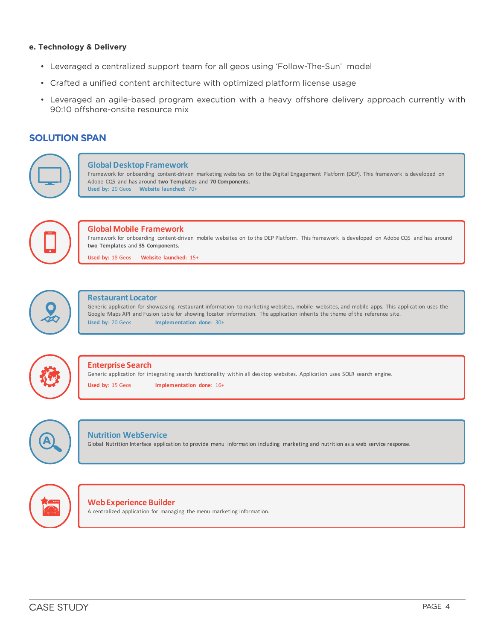#### **e. Technology & Delivery**

- Leveraged a centralized support team for all geos using 'Follow-The-Sun' model
- Crafted a unified content architecture with optimized platform license usage
- Leveraged an agile-based program execution with a heavy offshore delivery approach currently with 90:10 offshore-onsite resource mix

# **SOLUTION SPAN**